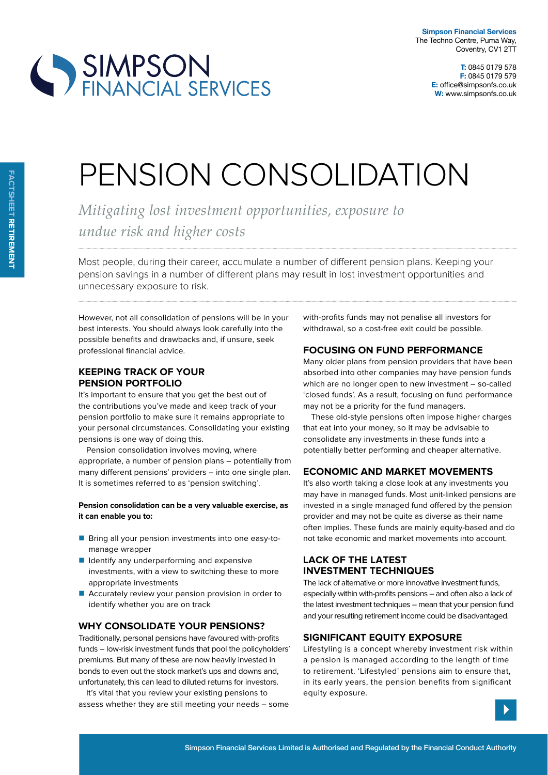

# PENSION CONSOLIDATION

*Mitigating lost investment opportunities, exposure to undue risk and higher costs*

Most people, during their career, accumulate a number of diferent pension plans. Keeping your pension savings in a number of diferent plans may result in lost investment opportunities and unnecessary exposure to risk.

However, not all consolidation of pensions will be in your best interests. You should always look carefully into the possible benefits and drawbacks and, if unsure, seek professional financial advice.

# **keeping track oF your pension portFolio**

SIMPSON<br>FINANCIAL SERVICES

It's important to ensure that you get the best out of the contributions you've made and keep track of your pension portfolio to make sure it remains appropriate to your personal circumstances. Consolidating your existing pensions is one way of doing this.

Pension consolidation involves moving, where appropriate, a number of pension plans – potentially from many diferent pensions' providers – into one single plan. It is sometimes referred to as 'pension switching'.

**pension consolidation can be a very valuable exercise, as it can enable you to:**

- Bring all your pension investments into one easy-tomanage wrapper
- $\blacksquare$  Identify any underperforming and expensive investments, with a view to switching these to more appropriate investments
- **Accurately review your pension provision in order to** identify whether you are on track

## **wHy consolidate your pensions?**

Traditionally, personal pensions have favoured with-profits funds – low-risk investment funds that pool the policyholders' premiums. But many of these are now heavily invested in bonds to even out the stock market's ups and downs and, unfortunately, this can lead to diluted returns for investors.

It's vital that you review your existing pensions to assess whether they are still meeting your needs – some with-profits funds may not penalise all investors for withdrawal, so a cost-free exit could be possible.

## **Focusing on Fund perFormance**

Many older plans from pension providers that have been absorbed into other companies may have pension funds which are no longer open to new investment – so-called 'closed funds'. As a result, focusing on fund performance may not be a priority for the fund managers.

These old-style pensions often impose higher charges that eat into your money, so it may be advisable to consolidate any investments in these funds into a potentially better performing and cheaper alternative.

#### **economic and market movements**

It's also worth taking a close look at any investments you may have in managed funds. Most unit-linked pensions are invested in a single managed fund offered by the pension provider and may not be quite as diverse as their name often implies. These funds are mainly equity-based and do not take economic and market movements into account.

# **lack oF tHe latest investment tecHniQues**

The lack of alternative or more innovative investment funds, especially within with-profits pensions – and often also a lack of the latest investment techniques – mean that your pension fund and your resulting retirement income could be disadvantaged.

### **signiFicant eQuity exposure**

Lifestyling is a concept whereby investment risk within a pension is managed according to the length of time to retirement. 'Lifestyled' pensions aim to ensure that, in its early years, the pension benefits from significant equity exposure.